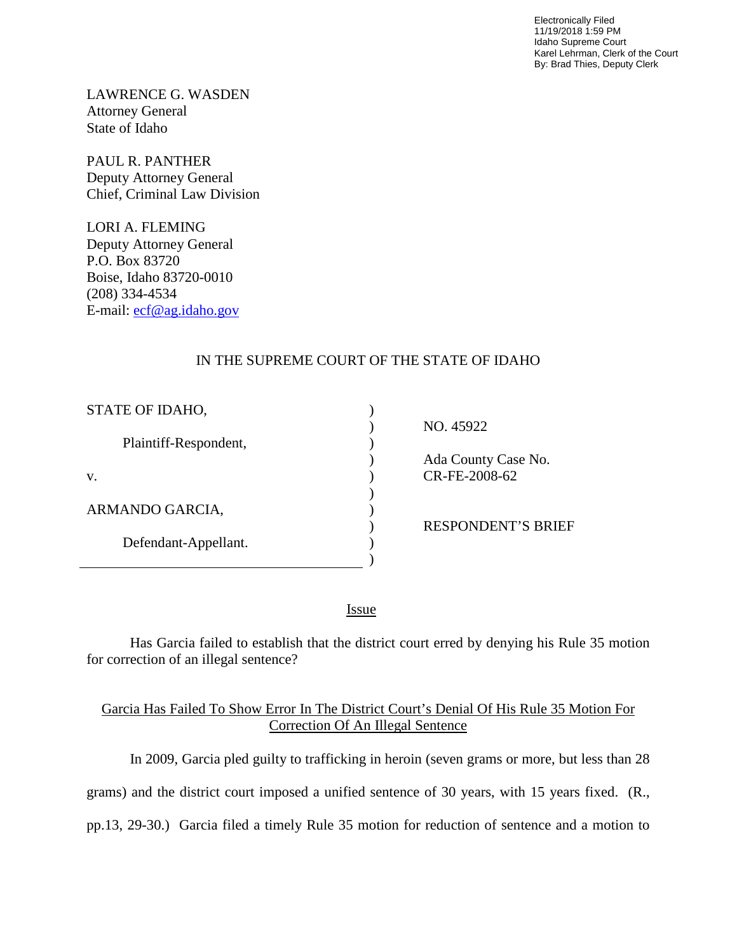Electronically Filed 11/19/2018 1:59 PM Idaho Supreme Court Karel Lehrman, Clerk of the Court By: Brad Thies, Deputy Clerk

LAWRENCE G. WASDEN Attorney General State of Idaho

PAUL R. PANTHER Deputy Attorney General Chief, Criminal Law Division

LORI A. FLEMING Deputy Attorney General P.O. Box 83720 Boise, Idaho 83720-0010 (208) 334-4534 E-mail: [ecf@ag.idaho.gov](mailto:ecf@ag.idaho.gov) 

## IN THE SUPREME COURT OF THE STATE OF IDAHO

| STATE OF IDAHO,       |                           |
|-----------------------|---------------------------|
|                       | NO. 45922                 |
| Plaintiff-Respondent, |                           |
|                       | Ada County Case No.       |
| V.                    | CR-FE-2008-62             |
|                       |                           |
| ARMANDO GARCIA,       |                           |
|                       | <b>RESPONDENT'S BRIEF</b> |
| Defendant-Appellant.  |                           |
|                       |                           |

<u>Issue</u>

Has Garcia failed to establish that the district court erred by denying his Rule 35 motion for correction of an illegal sentence?

## Garcia Has Failed To Show Error In The District Court's Denial Of His Rule 35 Motion For Correction Of An Illegal Sentence

In 2009, Garcia pled guilty to trafficking in heroin (seven grams or more, but less than 28

grams) and the district court imposed a unified sentence of 30 years, with 15 years fixed. (R.,

pp.13, 29-30.) Garcia filed a timely Rule 35 motion for reduction of sentence and a motion to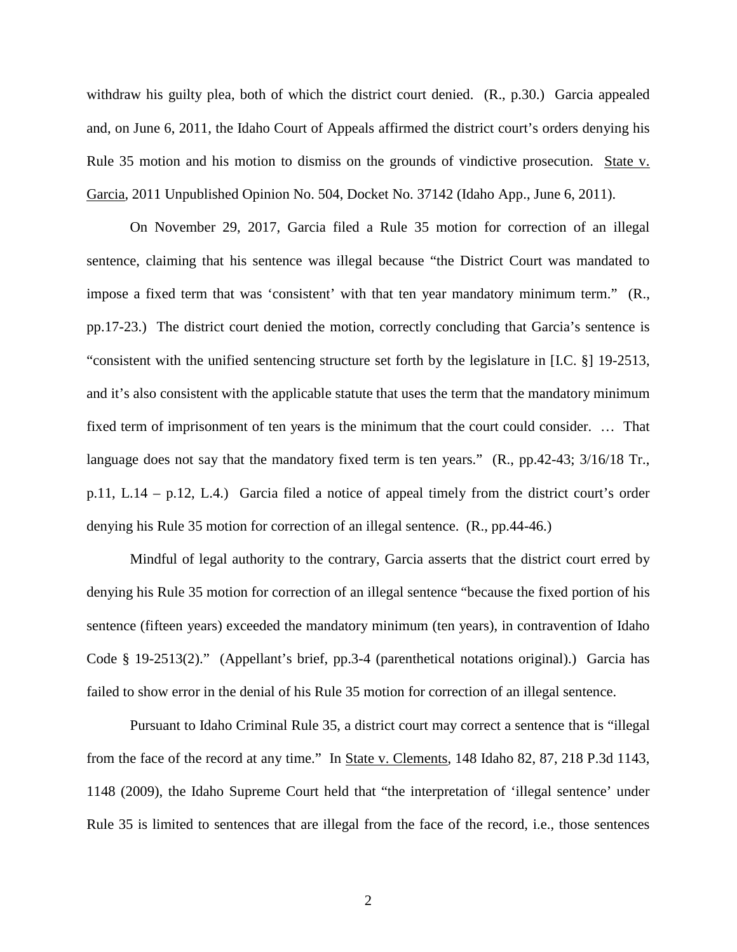withdraw his guilty plea, both of which the district court denied. (R., p.30.) Garcia appealed and, on June 6, 2011, the Idaho Court of Appeals affirmed the district court's orders denying his Rule 35 motion and his motion to dismiss on the grounds of vindictive prosecution. State v. Garcia, 2011 Unpublished Opinion No. 504, Docket No. 37142 (Idaho App., June 6, 2011).

On November 29, 2017, Garcia filed a Rule 35 motion for correction of an illegal sentence, claiming that his sentence was illegal because "the District Court was mandated to impose a fixed term that was 'consistent' with that ten year mandatory minimum term." (R., pp.17-23.) The district court denied the motion, correctly concluding that Garcia's sentence is "consistent with the unified sentencing structure set forth by the legislature in [I.C. §] 19-2513, and it's also consistent with the applicable statute that uses the term that the mandatory minimum fixed term of imprisonment of ten years is the minimum that the court could consider. … That language does not say that the mandatory fixed term is ten years." (R., pp.42-43;  $3/16/18$  Tr., p.11, L.14 – p.12, L.4.) Garcia filed a notice of appeal timely from the district court's order denying his Rule 35 motion for correction of an illegal sentence. (R., pp.44-46.)

Mindful of legal authority to the contrary, Garcia asserts that the district court erred by denying his Rule 35 motion for correction of an illegal sentence "because the fixed portion of his sentence (fifteen years) exceeded the mandatory minimum (ten years), in contravention of Idaho Code § 19-2513(2)." (Appellant's brief, pp.3-4 (parenthetical notations original).) Garcia has failed to show error in the denial of his Rule 35 motion for correction of an illegal sentence.

Pursuant to Idaho Criminal Rule 35, a district court may correct a sentence that is "illegal from the face of the record at any time." In State v. Clements, 148 Idaho 82, 87, 218 P.3d 1143, 1148 (2009), the Idaho Supreme Court held that "the interpretation of 'illegal sentence' under Rule 35 is limited to sentences that are illegal from the face of the record, i.e., those sentences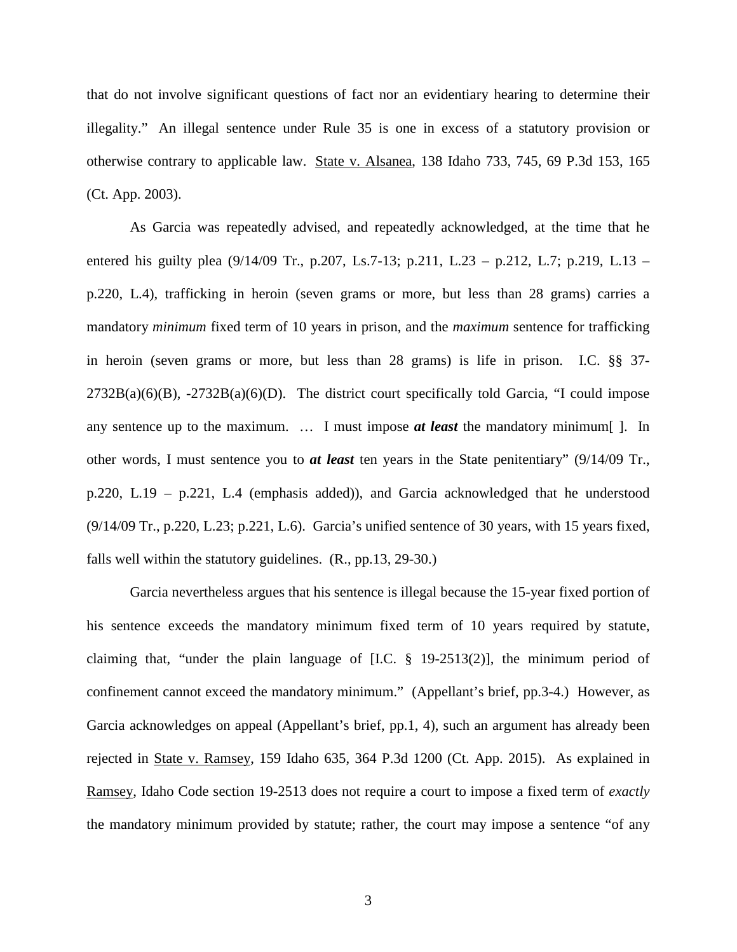that do not involve significant questions of fact nor an evidentiary hearing to determine their illegality." An illegal sentence under Rule 35 is one in excess of a statutory provision or otherwise contrary to applicable law. State v. Alsanea, 138 Idaho 733, 745, 69 P.3d 153, 165 (Ct. App. 2003).

As Garcia was repeatedly advised, and repeatedly acknowledged, at the time that he entered his guilty plea (9/14/09 Tr., p.207, Ls.7-13; p.211, L.23 – p.212, L.7; p.219, L.13 – p.220, L.4), trafficking in heroin (seven grams or more, but less than 28 grams) carries a mandatory *minimum* fixed term of 10 years in prison, and the *maximum* sentence for trafficking in heroin (seven grams or more, but less than 28 grams) is life in prison. I.C. §§ 37-  $2732B(a)(6)(B)$ ,  $-2732B(a)(6)(D)$ . The district court specifically told Garcia, "I could impose any sentence up to the maximum. … I must impose *at least* the mandatory minimum[ ]. In other words, I must sentence you to *at least* ten years in the State penitentiary" (9/14/09 Tr., p.220, L.19 – p.221, L.4 (emphasis added)), and Garcia acknowledged that he understood (9/14/09 Tr., p.220, L.23; p.221, L.6). Garcia's unified sentence of 30 years, with 15 years fixed, falls well within the statutory guidelines. (R., pp.13, 29-30.)

Garcia nevertheless argues that his sentence is illegal because the 15-year fixed portion of his sentence exceeds the mandatory minimum fixed term of 10 years required by statute, claiming that, "under the plain language of [I.C. § 19-2513(2)], the minimum period of confinement cannot exceed the mandatory minimum." (Appellant's brief, pp.3-4.) However, as Garcia acknowledges on appeal (Appellant's brief, pp.1, 4), such an argument has already been rejected in State v. Ramsey, 159 Idaho 635, 364 P.3d 1200 (Ct. App. 2015). As explained in Ramsey, Idaho Code section 19-2513 does not require a court to impose a fixed term of *exactly* the mandatory minimum provided by statute; rather, the court may impose a sentence "of any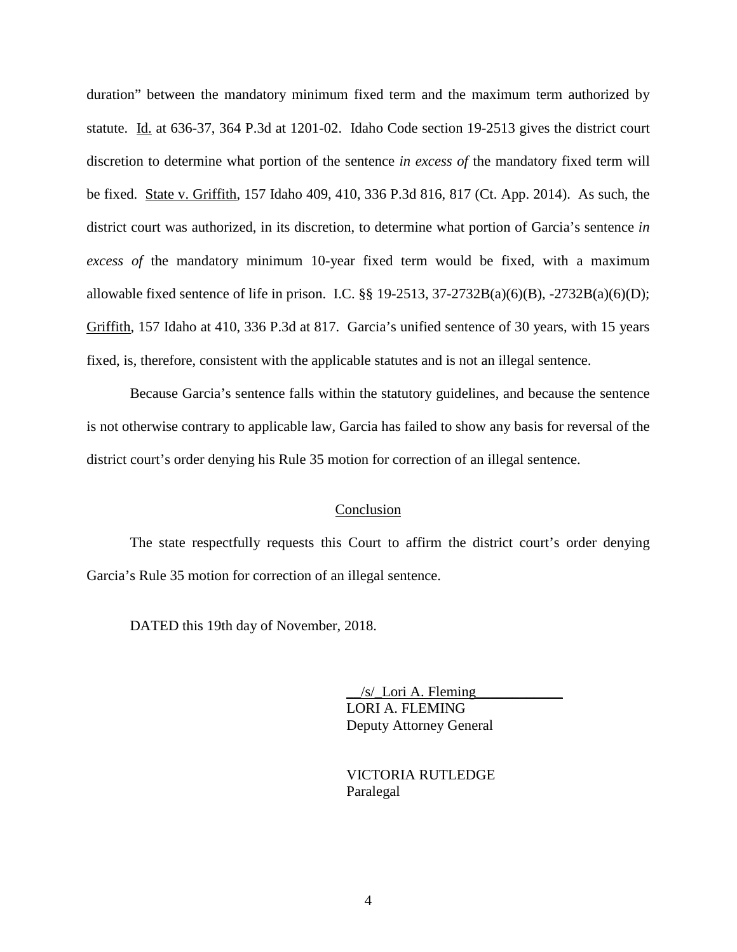duration" between the mandatory minimum fixed term and the maximum term authorized by statute. Id. at 636-37, 364 P.3d at 1201-02. Idaho Code section 19-2513 gives the district court discretion to determine what portion of the sentence *in excess of* the mandatory fixed term will be fixed. State v. Griffith, 157 Idaho 409, 410, 336 P.3d 816, 817 (Ct. App. 2014). As such, the district court was authorized, in its discretion, to determine what portion of Garcia's sentence *in excess of* the mandatory minimum 10-year fixed term would be fixed, with a maximum allowable fixed sentence of life in prison. I.C. §§ 19-2513, 37-2732B(a)(6)(B), -2732B(a)(6)(D); Griffith, 157 Idaho at 410, 336 P.3d at 817. Garcia's unified sentence of 30 years, with 15 years fixed, is, therefore, consistent with the applicable statutes and is not an illegal sentence.

Because Garcia's sentence falls within the statutory guidelines, and because the sentence is not otherwise contrary to applicable law, Garcia has failed to show any basis for reversal of the district court's order denying his Rule 35 motion for correction of an illegal sentence.

## Conclusion

The state respectfully requests this Court to affirm the district court's order denying Garcia's Rule 35 motion for correction of an illegal sentence.

DATED this 19th day of November, 2018.

 $/s$  Lori A. Fleming LORI A. FLEMING Deputy Attorney General

 VICTORIA RUTLEDGE Paralegal